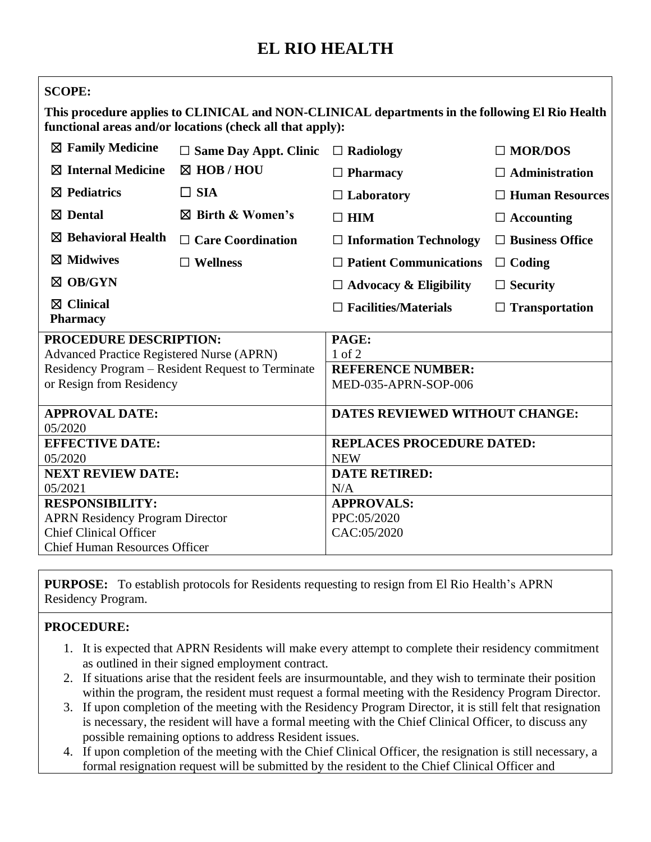## **EL RIO HEALTH**

| <b>SCOPE:</b>                                                                                                                                               |                              |                                  |                        |
|-------------------------------------------------------------------------------------------------------------------------------------------------------------|------------------------------|----------------------------------|------------------------|
| This procedure applies to CLINICAL and NON-CLINICAL departments in the following El Rio Health<br>functional areas and/or locations (check all that apply): |                              |                                  |                        |
| $\boxtimes$ Family Medicine                                                                                                                                 | $\Box$ Same Day Appt. Clinic | $\Box$ Radiology                 | $\Box$ MOR/DOS         |
| $\boxtimes$ Internal Medicine                                                                                                                               | $\boxtimes$ HOB / HOU        | $\Box$ Pharmacy                  | $\Box$ Administration  |
| $\boxtimes$ Pediatrics                                                                                                                                      | $\Box$ SIA                   | $\Box$ Laboratory                | $\Box$ Human Resources |
| $\boxtimes$ Dental                                                                                                                                          | $\boxtimes$ Birth & Women's  | $\square$ HIM                    | $\Box$ Accounting      |
| $\boxtimes$ Behavioral Health                                                                                                                               | $\Box$ Care Coordination     | $\Box$ Information Technology    | $\Box$ Business Office |
| $\boxtimes$ Midwives                                                                                                                                        | $\Box$ Wellness              | $\Box$ Patient Communications    | $\Box$ Coding          |
| $\boxtimes$ OB/GYN                                                                                                                                          |                              | $\Box$ Advocacy & Eligibility    | $\Box$ Security        |
| $\boxtimes$ Clinical<br><b>Pharmacy</b>                                                                                                                     |                              | $\Box$ Facilities/Materials      | $\Box$ Transportation  |
| PROCEDURE DESCRIPTION:                                                                                                                                      |                              | PAGE:                            |                        |
| <b>Advanced Practice Registered Nurse (APRN)</b>                                                                                                            |                              | $1$ of $2$                       |                        |
| Residency Program – Resident Request to Terminate                                                                                                           |                              | <b>REFERENCE NUMBER:</b>         |                        |
| or Resign from Residency                                                                                                                                    |                              | MED-035-APRN-SOP-006             |                        |
| <b>APPROVAL DATE:</b>                                                                                                                                       |                              | DATES REVIEWED WITHOUT CHANGE:   |                        |
| 05/2020                                                                                                                                                     |                              |                                  |                        |
| <b>EFFECTIVE DATE:</b>                                                                                                                                      |                              | <b>REPLACES PROCEDURE DATED:</b> |                        |
| 05/2020                                                                                                                                                     |                              | <b>NEW</b>                       |                        |
| <b>NEXT REVIEW DATE:</b><br>05/2021                                                                                                                         |                              | <b>DATE RETIRED:</b><br>N/A      |                        |
| <b>RESPONSIBILITY:</b>                                                                                                                                      |                              | <b>APPROVALS:</b>                |                        |
| <b>APRN Residency Program Director</b>                                                                                                                      |                              | PPC:05/2020                      |                        |
| <b>Chief Clinical Officer</b>                                                                                                                               |                              | CAC:05/2020                      |                        |
| <b>Chief Human Resources Officer</b>                                                                                                                        |                              |                                  |                        |
|                                                                                                                                                             |                              |                                  |                        |

**PURPOSE:** To establish protocols for Residents requesting to resign from El Rio Health's APRN Residency Program.

## **PROCEDURE:**

- 1. It is expected that APRN Residents will make every attempt to complete their residency commitment as outlined in their signed employment contract.
- 2. If situations arise that the resident feels are insurmountable, and they wish to terminate their position within the program, the resident must request a formal meeting with the Residency Program Director.
- 3. If upon completion of the meeting with the Residency Program Director, it is still felt that resignation is necessary, the resident will have a formal meeting with the Chief Clinical Officer, to discuss any possible remaining options to address Resident issues.
- 4. If upon completion of the meeting with the Chief Clinical Officer, the resignation is still necessary, a formal resignation request will be submitted by the resident to the Chief Clinical Officer and